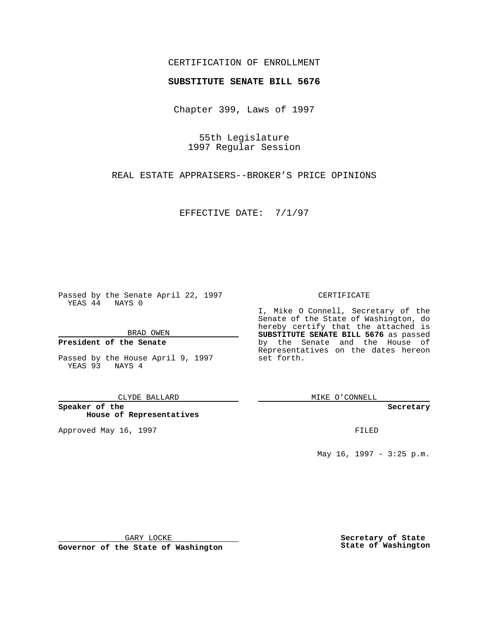## CERTIFICATION OF ENROLLMENT

# **SUBSTITUTE SENATE BILL 5676**

Chapter 399, Laws of 1997

55th Legislature 1997 Regular Session

REAL ESTATE APPRAISERS--BROKER'S PRICE OPINIONS

EFFECTIVE DATE: 7/1/97

Passed by the Senate April 22, 1997 YEAS 44 NAYS 0

BRAD OWEN

### **President of the Senate**

Passed by the House April 9, 1997 YEAS 93 NAYS 4

CLYDE BALLARD

**Speaker of the House of Representatives**

Approved May 16, 1997 **FILED** 

### CERTIFICATE

I, Mike O Connell, Secretary of the Senate of the State of Washington, do hereby certify that the attached is **SUBSTITUTE SENATE BILL 5676** as passed by the Senate and the House of Representatives on the dates hereon set forth.

MIKE O'CONNELL

#### **Secretary**

May 16, 1997 - 3:25 p.m.

GARY LOCKE

**Governor of the State of Washington**

**Secretary of State State of Washington**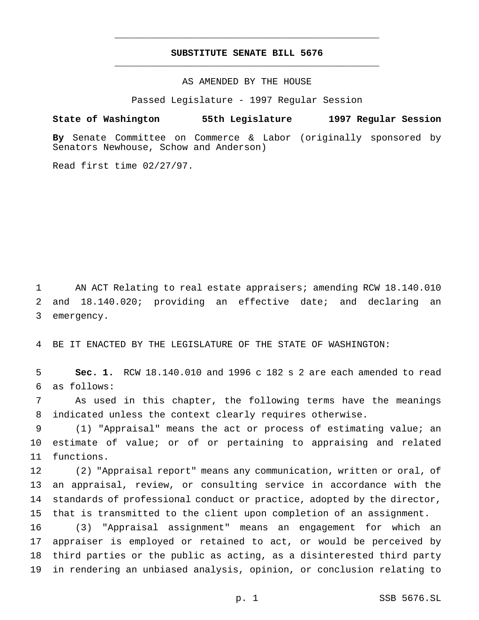# **SUBSTITUTE SENATE BILL 5676** \_\_\_\_\_\_\_\_\_\_\_\_\_\_\_\_\_\_\_\_\_\_\_\_\_\_\_\_\_\_\_\_\_\_\_\_\_\_\_\_\_\_\_\_\_\_\_

\_\_\_\_\_\_\_\_\_\_\_\_\_\_\_\_\_\_\_\_\_\_\_\_\_\_\_\_\_\_\_\_\_\_\_\_\_\_\_\_\_\_\_\_\_\_\_

### AS AMENDED BY THE HOUSE

Passed Legislature - 1997 Regular Session

### **State of Washington 55th Legislature 1997 Regular Session**

**By** Senate Committee on Commerce & Labor (originally sponsored by Senators Newhouse, Schow and Anderson)

Read first time 02/27/97.

 AN ACT Relating to real estate appraisers; amending RCW 18.140.010 and 18.140.020; providing an effective date; and declaring an emergency.

BE IT ENACTED BY THE LEGISLATURE OF THE STATE OF WASHINGTON:

 **Sec. 1.** RCW 18.140.010 and 1996 c 182 s 2 are each amended to read as follows:

 As used in this chapter, the following terms have the meanings indicated unless the context clearly requires otherwise.

 (1) "Appraisal" means the act or process of estimating value; an estimate of value; or of or pertaining to appraising and related functions.

 (2) "Appraisal report" means any communication, written or oral, of an appraisal, review, or consulting service in accordance with the standards of professional conduct or practice, adopted by the director, that is transmitted to the client upon completion of an assignment.

 (3) "Appraisal assignment" means an engagement for which an appraiser is employed or retained to act, or would be perceived by third parties or the public as acting, as a disinterested third party in rendering an unbiased analysis, opinion, or conclusion relating to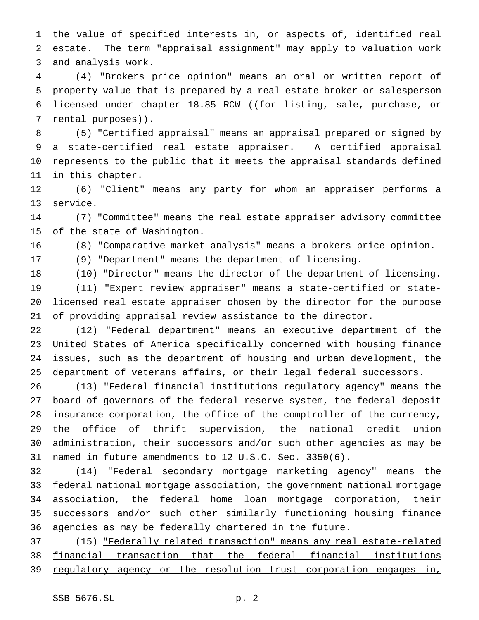the value of specified interests in, or aspects of, identified real estate. The term "appraisal assignment" may apply to valuation work and analysis work.

 (4) "Brokers price opinion" means an oral or written report of property value that is prepared by a real estate broker or salesperson licensed under chapter 18.85 RCW ((for listing, sale, purchase, or 7 rental purposes)).

 (5) "Certified appraisal" means an appraisal prepared or signed by a state-certified real estate appraiser. A certified appraisal represents to the public that it meets the appraisal standards defined in this chapter.

 (6) "Client" means any party for whom an appraiser performs a service.

 (7) "Committee" means the real estate appraiser advisory committee of the state of Washington.

(8) "Comparative market analysis" means a brokers price opinion.

(9) "Department" means the department of licensing.

 (10) "Director" means the director of the department of licensing. (11) "Expert review appraiser" means a state-certified or state- licensed real estate appraiser chosen by the director for the purpose of providing appraisal review assistance to the director.

 (12) "Federal department" means an executive department of the United States of America specifically concerned with housing finance issues, such as the department of housing and urban development, the department of veterans affairs, or their legal federal successors.

 (13) "Federal financial institutions regulatory agency" means the board of governors of the federal reserve system, the federal deposit insurance corporation, the office of the comptroller of the currency, the office of thrift supervision, the national credit union administration, their successors and/or such other agencies as may be named in future amendments to 12 U.S.C. Sec. 3350(6).

 (14) "Federal secondary mortgage marketing agency" means the federal national mortgage association, the government national mortgage association, the federal home loan mortgage corporation, their successors and/or such other similarly functioning housing finance agencies as may be federally chartered in the future.

 (15) "Federally related transaction" means any real estate-related financial transaction that the federal financial institutions 39 regulatory agency or the resolution trust corporation engages in,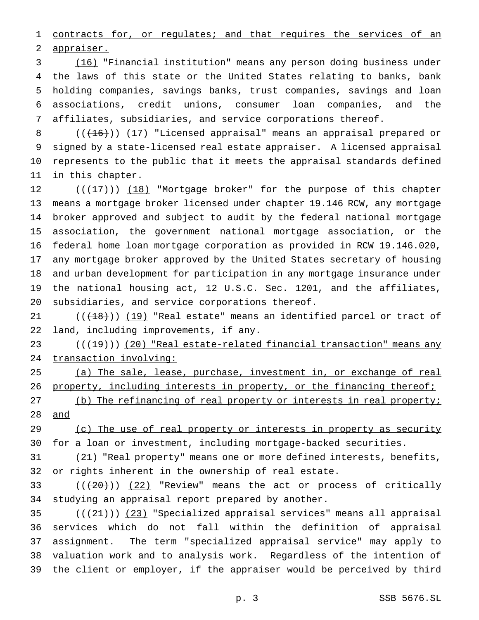1 contracts for, or regulates; and that requires the services of an appraiser.

 (16) "Financial institution" means any person doing business under the laws of this state or the United States relating to banks, bank holding companies, savings banks, trust companies, savings and loan associations, credit unions, consumer loan companies, and the affiliates, subsidiaries, and service corporations thereof.

8 (( $(16)$ )) (17) "Licensed appraisal" means an appraisal prepared or signed by a state-licensed real estate appraiser. A licensed appraisal represents to the public that it meets the appraisal standards defined in this chapter.

12 (( $(17)$ )) (18) "Mortgage broker" for the purpose of this chapter means a mortgage broker licensed under chapter 19.146 RCW, any mortgage broker approved and subject to audit by the federal national mortgage association, the government national mortgage association, or the federal home loan mortgage corporation as provided in RCW 19.146.020, any mortgage broker approved by the United States secretary of housing and urban development for participation in any mortgage insurance under the national housing act, 12 U.S.C. Sec. 1201, and the affiliates, subsidiaries, and service corporations thereof.

 $((+18))$   $(19)$  "Real estate" means an identified parcel or tract of land, including improvements, if any.

 $((+19))$  (20) "Real estate-related financial transaction" means any transaction involving:

 (a) The sale, lease, purchase, investment in, or exchange of real 26 property, including interests in property, or the financing thereof;

27 (b) The refinancing of real property or interests in real property; and

29 (c) The use of real property or interests in property as security 30 for a loan or investment, including mortgage-backed securities.

 (21) "Real property" means one or more defined interests, benefits, or rights inherent in the ownership of real estate.

33  $((+20))$   $(22)$  "Review" means the act or process of critically studying an appraisal report prepared by another.

 $((21))$   $(23)$  "Specialized appraisal services" means all appraisal services which do not fall within the definition of appraisal assignment. The term "specialized appraisal service" may apply to valuation work and to analysis work. Regardless of the intention of the client or employer, if the appraiser would be perceived by third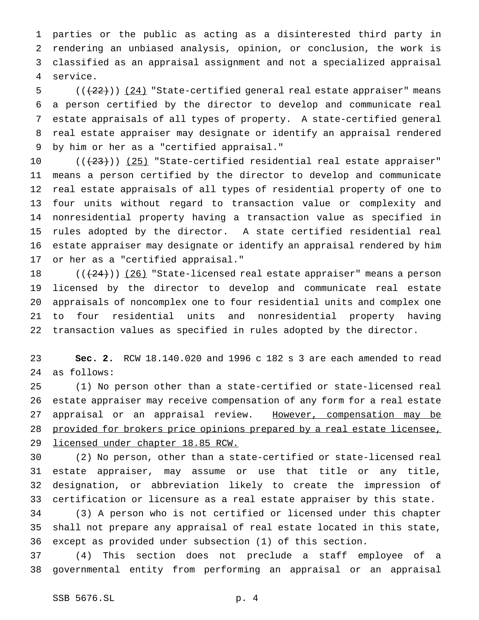parties or the public as acting as a disinterested third party in rendering an unbiased analysis, opinion, or conclusion, the work is classified as an appraisal assignment and not a specialized appraisal service.

 $((+22))$   $(24)$  "State-certified general real estate appraiser" means a person certified by the director to develop and communicate real estate appraisals of all types of property. A state-certified general real estate appraiser may designate or identify an appraisal rendered by him or her as a "certified appraisal."

 $((+23))$   $(25)$  "State-certified residential real estate appraiser" means a person certified by the director to develop and communicate real estate appraisals of all types of residential property of one to four units without regard to transaction value or complexity and nonresidential property having a transaction value as specified in rules adopted by the director. A state certified residential real estate appraiser may designate or identify an appraisal rendered by him or her as a "certified appraisal."

 $((+24))$   $(26)$  "State-licensed real estate appraiser" means a person licensed by the director to develop and communicate real estate appraisals of noncomplex one to four residential units and complex one to four residential units and nonresidential property having transaction values as specified in rules adopted by the director.

 **Sec. 2.** RCW 18.140.020 and 1996 c 182 s 3 are each amended to read as follows:

 (1) No person other than a state-certified or state-licensed real estate appraiser may receive compensation of any form for a real estate 27 appraisal or an appraisal review. However, compensation may be provided for brokers price opinions prepared by a real estate licensee, licensed under chapter 18.85 RCW.

 (2) No person, other than a state-certified or state-licensed real estate appraiser, may assume or use that title or any title, designation, or abbreviation likely to create the impression of certification or licensure as a real estate appraiser by this state.

 (3) A person who is not certified or licensed under this chapter shall not prepare any appraisal of real estate located in this state, except as provided under subsection (1) of this section.

 (4) This section does not preclude a staff employee of a governmental entity from performing an appraisal or an appraisal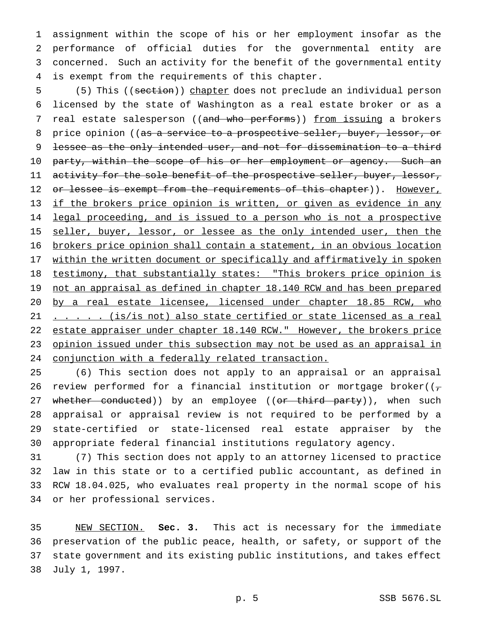assignment within the scope of his or her employment insofar as the performance of official duties for the governmental entity are concerned. Such an activity for the benefit of the governmental entity is exempt from the requirements of this chapter.

5 (5) This ((section)) chapter does not preclude an individual person 6 licensed by the state of Washington as a real estate broker or as a 7 real estate salesperson ((and who performs)) from issuing a brokers 8 price opinion ((as a service to a prospective seller, buyer, lessor, or 9 lessee as the only intended user, and not for dissemination to a third 10 party, within the scope of his or her employment or agency. Such an 11 activity for the sole benefit of the prospective seller, buyer, lessor, 12 or lessee is exempt from the requirements of this chapter)). However, 13 if the brokers price opinion is written, or given as evidence in any 14 legal proceeding, and is issued to a person who is not a prospective 15 seller, buyer, lessor, or lessee as the only intended user, then the 16 brokers price opinion shall contain a statement, in an obvious location 17 within the written document or specifically and affirmatively in spoken 18 testimony, that substantially states: "This brokers price opinion is 19 not an appraisal as defined in chapter 18.140 RCW and has been prepared 20 by a real estate licensee, licensed under chapter 18.85 RCW, who 21 . . . . . (is/is not) also state certified or state licensed as a real 22 estate appraiser under chapter 18.140 RCW." However, the brokers price 23 opinion issued under this subsection may not be used as an appraisal in 24 conjunction with a federally related transaction.

 (6) This section does not apply to an appraisal or an appraisal 26 review performed for a financial institution or mortgage broker( $(\tau$ 27 whether conducted)) by an employee ((or third party)), when such appraisal or appraisal review is not required to be performed by a state-certified or state-licensed real estate appraiser by the appropriate federal financial institutions regulatory agency.

 (7) This section does not apply to an attorney licensed to practice law in this state or to a certified public accountant, as defined in RCW 18.04.025, who evaluates real property in the normal scope of his or her professional services.

 NEW SECTION. **Sec. 3.** This act is necessary for the immediate preservation of the public peace, health, or safety, or support of the state government and its existing public institutions, and takes effect July 1, 1997.